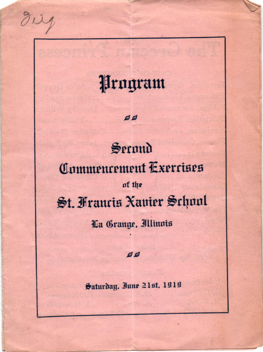Program

 $QQ$ 

rig

# Secund Commencement Exercises of the St. Francis Xavier Schnul La Grange, Illinois

# ø ø

Saturday, Inne 21st, 1919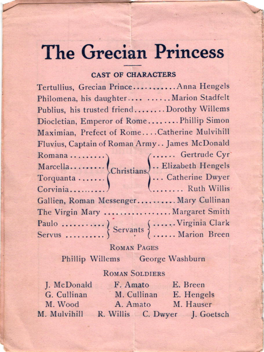# **The Grecian Princess**

### **CAST OF CHARACTERS**

Tertullius, Grecian Prince........... Anna Hengels Philomena, his daughter .... . ..... Marion Stadfelt Publius, his trusted friend.......Dorothy Willems Diocletian, Emperor of Rome........Phillip Simon Maximian, Prefect of Rome....Catherine Mulvihill Fluvius, Captain of Roman Army.. James McDonald Romana<br>
Marcella<br>
Christians
Christians
Christians
Corvenia<br>
Christians
Corvenia<br>
Christians
Corvenia<br>
Corvenia<br>
Corvenia<br>
Corvenia<br>
Corvenia<br>
Corvenia<br>
Corvenia<br>
Corvenia<br>
Corvenia<br>
Corvenia<br>
Corvenia<br>
Corvenia<br>
Corvenia<br> Gallien, Roman Messenger.......... Mary Cullinan The Virgin Mary ................. Margaret Smith 

# **ROMAN PAGES**

Phillip Willems George Washburn

# **ROMAN SOLDIERS**

| J. McDonald  | F. Amato                      | E. Breen   |
|--------------|-------------------------------|------------|
| G. Cullinan  | M. Cullinan                   | E. Hengels |
| M. Wood      | A. Amato                      | M. Hauser  |
| M. Mulvihill | R. Willis C. Dwyer J. Goetsch |            |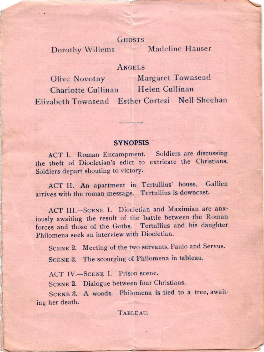#### **GHOSTS**

Dorothy Willems

Madeline Hauser

# **ANGELS**

Margaret Townsend Olive Novotny Charlotte Cullinan Helen Cullinan Elizabeth Townsend Esther Cortezi Nell Sheehan

#### **SYNOPSIS**

ACT I. Roman Encampment. Soldiers are discussing the theft of Diocletian's edict to extricate the Christians. Soldiers depart shouting to victory.

ACT II. An apartment in Tertullius' house. Gallien arrives with the roman message. Tertullius is downcast.

ACT III.-SCENE 1. Diocletian and Maximian are anxjously awaiting the result of the battle between the Roman forces and those of the Goths. Tertullius and his daughter Philomena seek an interview with Diocletian.

SCENE 2. Meeting of the two servants, Paulo and Servus.

SCENE 3. The scourging of Philomena in tableau.

ACT IV.-SCENE I. Prison scene.

SCENE 2. Dialogue between four Christians.

SCENE 3. A woods. Philomena is tied to a tree, awaiting her death.

TABLEAU.